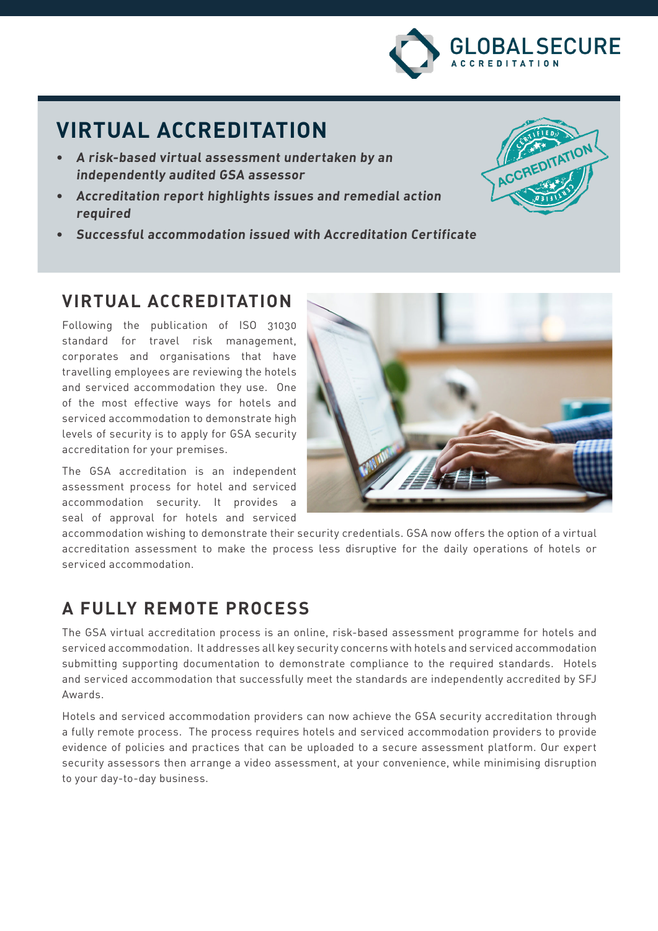

ACCREDITATION

# **VIRTUAL ACCREDITATION**

- **• A risk-based virtual assessment undertaken by an independently audited GSA assessor**
- **• Accreditation report highlights issues and remedial action required**
- **• Successful accommodation issued with Accreditation Certificate**

### **VIRTUAL ACCREDITATION**

Following the publication of ISO 31030 standard for travel risk management, corporates and organisations that have travelling employees are reviewing the hotels and serviced accommodation they use. One of the most effective ways for hotels and serviced accommodation to demonstrate high levels of security is to apply for GSA security accreditation for your premises.

The GSA accreditation is an independent assessment process for hotel and serviced accommodation security. It provides a seal of approval for hotels and serviced



accommodation wishing to demonstrate their security credentials. GSA now offers the option of a virtual accreditation assessment to make the process less disruptive for the daily operations of hotels or serviced accommodation.

## **A FULLY REMOTE PROCESS**

The GSA virtual accreditation process is an online, risk-based assessment programme for hotels and serviced accommodation. It addresses all key security concerns with hotels and serviced accommodation submitting supporting documentation to demonstrate compliance to the required standards. Hotels and serviced accommodation that successfully meet the standards are independently accredited by SFJ Awards.

Hotels and serviced accommodation providers can now achieve the GSA security accreditation through a fully remote process. The process requires hotels and serviced accommodation providers to provide evidence of policies and practices that can be uploaded to a secure assessment platform. Our expert security assessors then arrange a video assessment, at your convenience, while minimising disruption to your day-to-day business.